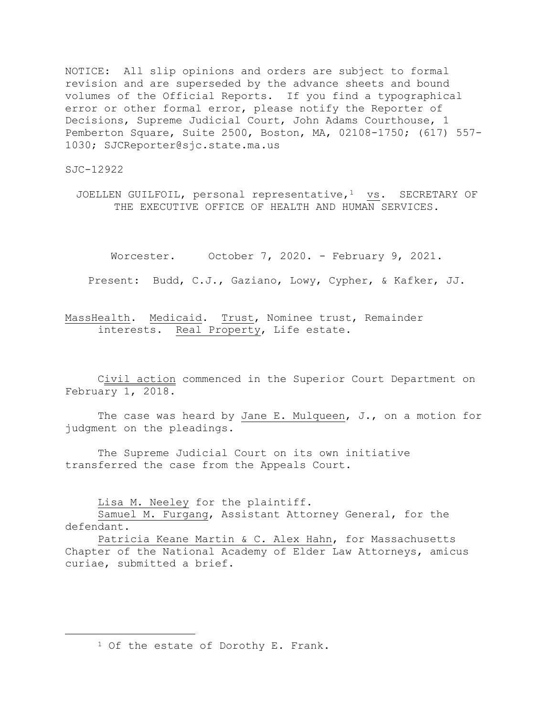NOTICE: All slip opinions and orders are subject to formal revision and are superseded by the advance sheets and bound volumes of the Official Reports. If you find a typographical error or other formal error, please notify the Reporter of Decisions, Supreme Judicial Court, John Adams Courthouse, 1 Pemberton Square, Suite 2500, Boston, MA, 02108-1750; (617) 557- 1030; SJCReporter@sjc.state.ma.us

SJC-12922

a<br>B

JOELLEN GUILFOIL, personal representative,<sup>1</sup> vs. SECRETARY OF THE EXECUTIVE OFFICE OF HEALTH AND HUMAN SERVICES.

Worcester. October 7, 2020. - February 9, 2021.

Present: Budd, C.J., Gaziano, Lowy, Cypher, & Kafker, JJ.

MassHealth. Medicaid. Trust, Nominee trust, Remainder interests. Real Property, Life estate.

Civil action commenced in the Superior Court Department on February 1, 2018.

The case was heard by Jane E. Mulqueen, J., on a motion for judgment on the pleadings.

The Supreme Judicial Court on its own initiative transferred the case from the Appeals Court.

Lisa M. Neeley for the plaintiff.

Samuel M. Furgang, Assistant Attorney General, for the defendant.

Patricia Keane Martin & C. Alex Hahn, for Massachusetts Chapter of the National Academy of Elder Law Attorneys, amicus curiae, submitted a brief.

<sup>&</sup>lt;sup>1</sup> Of the estate of Dorothy E. Frank.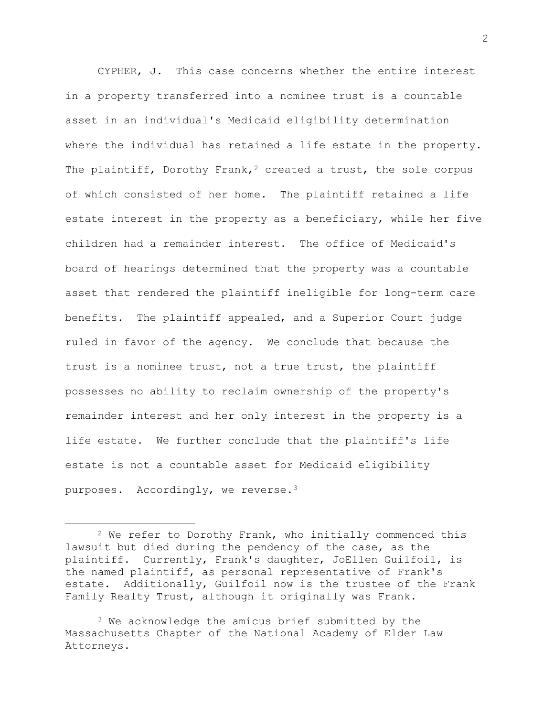CYPHER, J. This case concerns whether the entire interest in a property transferred into a nominee trust is a countable asset in an individual's Medicaid eligibility determination where the individual has retained a life estate in the property. The plaintiff, Dorothy Frank,<sup>2</sup> created a trust, the sole corpus of which consisted of her home. The plaintiff retained a life estate interest in the property as a beneficiary, while her five children had a remainder interest. The office of Medicaid's board of hearings determined that the property was a countable asset that rendered the plaintiff ineligible for long-term care benefits. The plaintiff appealed, and a Superior Court judge ruled in favor of the agency. We conclude that because the trust is a nominee trust, not a true trust, the plaintiff possesses no ability to reclaim ownership of the property's remainder interest and her only interest in the property is a life estate. We further conclude that the plaintiff's life estate is not a countable asset for Medicaid eligibility purposes. Accordingly, we reverse.<sup>3</sup>

a<br>B

<sup>2</sup> We refer to Dorothy Frank, who initially commenced this lawsuit but died during the pendency of the case, as the plaintiff. Currently, Frank's daughter, JoEllen Guilfoil, is the named plaintiff, as personal representative of Frank's estate. Additionally, Guilfoil now is the trustee of the Frank Family Realty Trust, although it originally was Frank.

<sup>&</sup>lt;sup>3</sup> We acknowledge the amicus brief submitted by the Massachusetts Chapter of the National Academy of Elder Law Attorneys.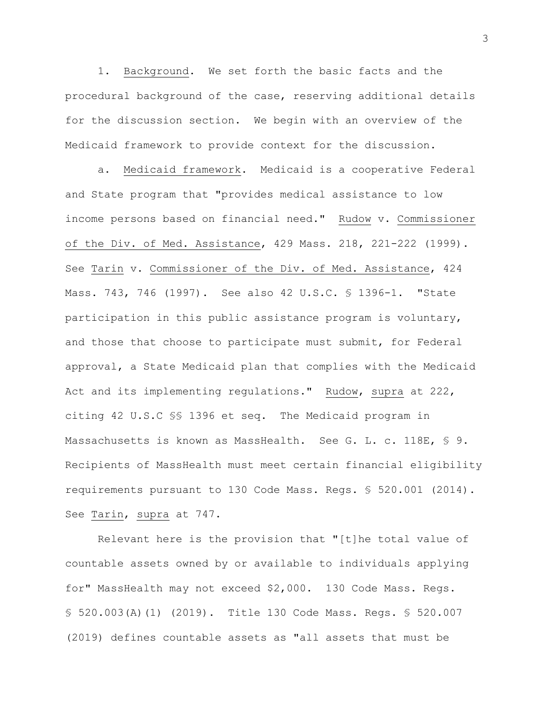1. Background. We set forth the basic facts and the procedural background of the case, reserving additional details for the discussion section. We begin with an overview of the Medicaid framework to provide context for the discussion.

a. Medicaid framework. Medicaid is a cooperative Federal and State program that "provides medical assistance to low income persons based on financial need." Rudow v. Commissioner of the Div. of Med. Assistance, 429 Mass. 218, 221-222 (1999). See Tarin v. Commissioner of the Div. of Med. Assistance, 424 Mass. 743, 746 (1997). See also 42 U.S.C. § 1396-1. "State participation in this public assistance program is voluntary, and those that choose to participate must submit, for Federal approval, a State Medicaid plan that complies with the Medicaid Act and its implementing regulations." Rudow, supra at 222, citing 42 U.S.C §§ 1396 et seq. The Medicaid program in Massachusetts is known as MassHealth. See G. L. c. 118E, § 9. Recipients of MassHealth must meet certain financial eligibility requirements pursuant to 130 Code Mass. Regs. § 520.001 (2014). See Tarin, supra at 747.

Relevant here is the provision that "[t]he total value of countable assets owned by or available to individuals applying for" MassHealth may not exceed \$2,000. 130 Code Mass. Regs. § 520.003(A)(1) (2019). Title 130 Code Mass. Regs. § 520.007 (2019) defines countable assets as "all assets that must be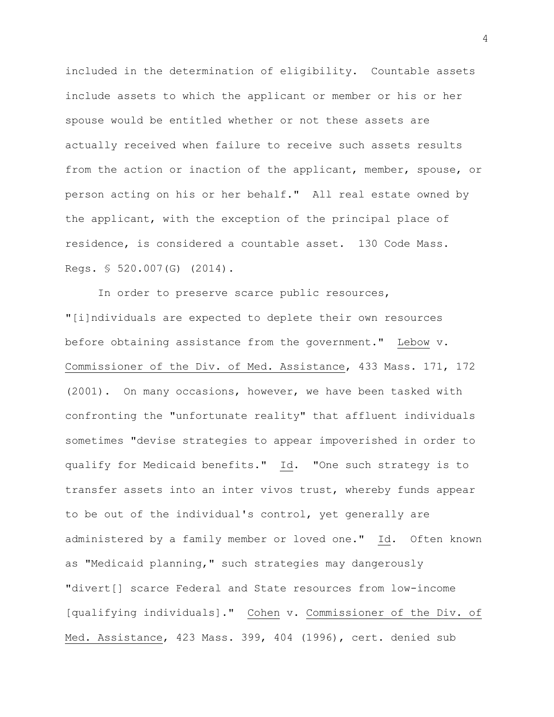included in the determination of eligibility. Countable assets include assets to which the applicant or member or his or her spouse would be entitled whether or not these assets are actually received when failure to receive such assets results from the action or inaction of the applicant, member, spouse, or person acting on his or her behalf." All real estate owned by the applicant, with the exception of the principal place of residence, is considered a countable asset. 130 Code Mass. Regs. § 520.007(G) (2014).

In order to preserve scarce public resources, "[i]ndividuals are expected to deplete their own resources before obtaining assistance from the government." Lebow v. Commissioner of the Div. of Med. Assistance, 433 Mass. 171, 172 (2001). On many occasions, however, we have been tasked with confronting the "unfortunate reality" that affluent individuals sometimes "devise strategies to appear impoverished in order to qualify for Medicaid benefits." Id. "One such strategy is to transfer assets into an inter vivos trust, whereby funds appear to be out of the individual's control, yet generally are administered by a family member or loved one." Id. Often known as "Medicaid planning," such strategies may dangerously "divert[] scarce Federal and State resources from low-income [qualifying individuals]." Cohen v. Commissioner of the Div. of Med. Assistance, 423 Mass. 399, 404 (1996), cert. denied sub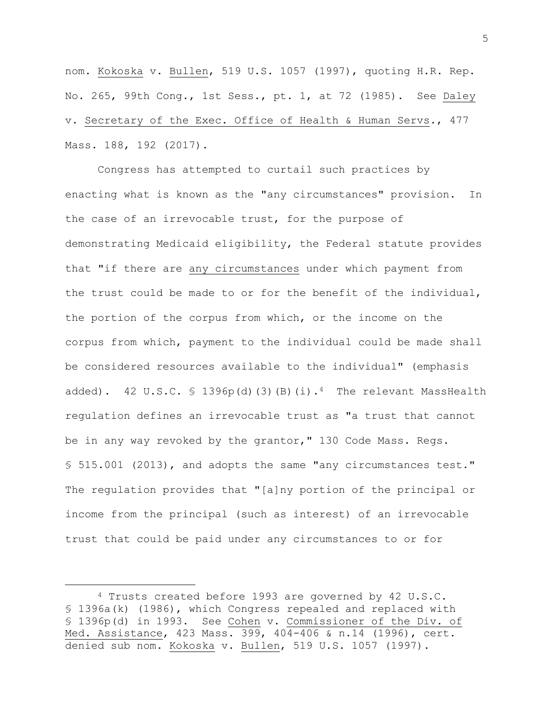nom. Kokoska v. Bullen, 519 U.S. 1057 (1997), quoting H.R. Rep. No. 265, 99th Cong., 1st Sess., pt. 1, at 72 (1985). See Daley v. Secretary of the Exec. Office of Health & Human Servs., 477 Mass. 188, 192 (2017).

Congress has attempted to curtail such practices by enacting what is known as the "any circumstances" provision. In the case of an irrevocable trust, for the purpose of demonstrating Medicaid eligibility, the Federal statute provides that "if there are any circumstances under which payment from the trust could be made to or for the benefit of the individual, the portion of the corpus from which, or the income on the corpus from which, payment to the individual could be made shall be considered resources available to the individual" (emphasis added). 42 U.S.C. § 1396p(d)(3)(B)(i).<sup>4</sup> The relevant MassHealth regulation defines an irrevocable trust as "a trust that cannot be in any way revoked by the grantor," 130 Code Mass. Regs. § 515.001 (2013), and adopts the same "any circumstances test." The regulation provides that "[a]ny portion of the principal or income from the principal (such as interest) of an irrevocable trust that could be paid under any circumstances to or for

a<br>B

<sup>4</sup> Trusts created before 1993 are governed by 42 U.S.C. § 1396a(k) (1986), which Congress repealed and replaced with § 1396p(d) in 1993. See Cohen v. Commissioner of the Div. of Med. Assistance, 423 Mass. 399, 404-406 & n.14 (1996), cert. denied sub nom. Kokoska v. Bullen, 519 U.S. 1057 (1997).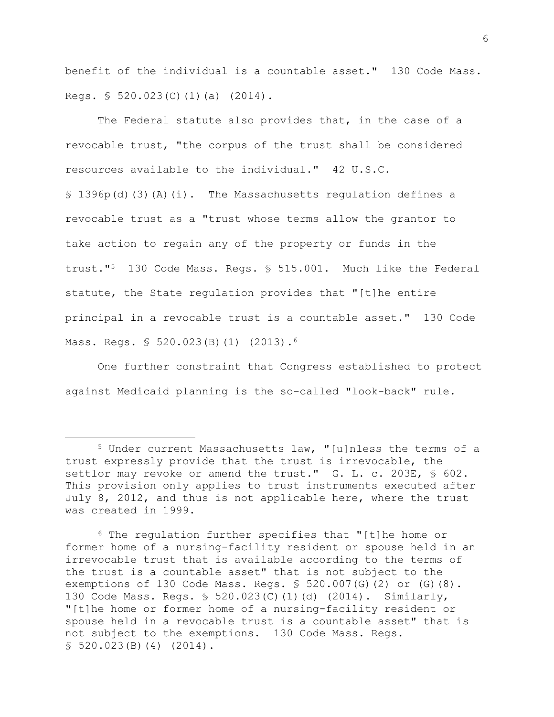benefit of the individual is a countable asset." 130 Code Mass. Regs. § 520.023(C)(1)(a) (2014).

The Federal statute also provides that, in the case of a revocable trust, "the corpus of the trust shall be considered resources available to the individual." 42 U.S.C. § 1396p(d)(3)(A)(i). The Massachusetts regulation defines a revocable trust as a "trust whose terms allow the grantor to take action to regain any of the property or funds in the trust."<sup>5</sup> 130 Code Mass. Regs. § 515.001. Much like the Federal statute, the State regulation provides that "[t]he entire principal in a revocable trust is a countable asset." 130 Code Mass. Regs. § 520.023(B)(1) (2013).<sup>6</sup>

One further constraint that Congress established to protect against Medicaid planning is the so-called "look-back" rule.

a<br>B

<sup>5</sup> Under current Massachusetts law, "[u]nless the terms of a trust expressly provide that the trust is irrevocable, the settlor may revoke or amend the trust." G. L. c. 203E, § 602. This provision only applies to trust instruments executed after July 8, 2012, and thus is not applicable here, where the trust was created in 1999.

<sup>6</sup> The regulation further specifies that "[t]he home or former home of a nursing-facility resident or spouse held in an irrevocable trust that is available according to the terms of the trust is a countable asset" that is not subject to the exemptions of 130 Code Mass. Regs.  $$520.007(G)(2)$  or  $(G)(8)$ . 130 Code Mass. Regs. § 520.023(C)(1)(d) (2014). Similarly, "[t]he home or former home of a nursing-facility resident or spouse held in a revocable trust is a countable asset" that is not subject to the exemptions. 130 Code Mass. Regs. § 520.023(B)(4) (2014).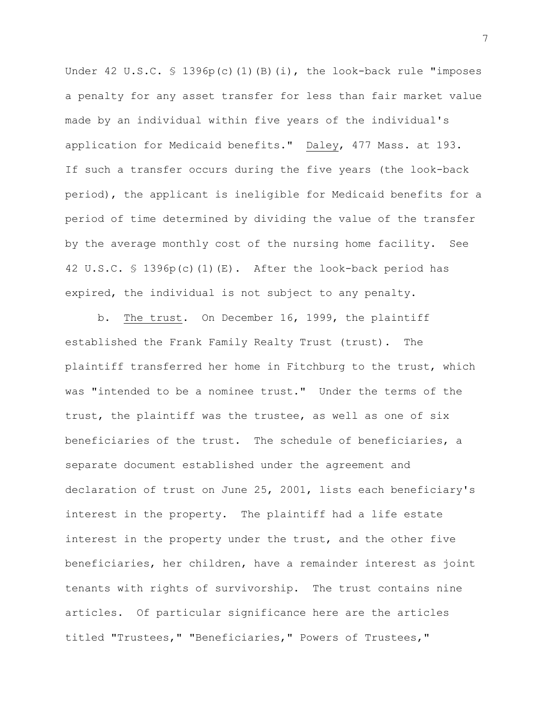Under 42 U.S.C.  $\frac{1396p(c)}{1)(B)}$ (i), the look-back rule "imposes a penalty for any asset transfer for less than fair market value made by an individual within five years of the individual's application for Medicaid benefits." Daley, 477 Mass. at 193. If such a transfer occurs during the five years (the look-back period), the applicant is ineligible for Medicaid benefits for a period of time determined by dividing the value of the transfer by the average monthly cost of the nursing home facility. See 42 U.S.C. § 1396p(c)(1)(E). After the look-back period has expired, the individual is not subject to any penalty.

b. The trust. On December 16, 1999, the plaintiff established the Frank Family Realty Trust (trust). The plaintiff transferred her home in Fitchburg to the trust, which was "intended to be a nominee trust." Under the terms of the trust, the plaintiff was the trustee, as well as one of six beneficiaries of the trust. The schedule of beneficiaries, a separate document established under the agreement and declaration of trust on June 25, 2001, lists each beneficiary's interest in the property. The plaintiff had a life estate interest in the property under the trust, and the other five beneficiaries, her children, have a remainder interest as joint tenants with rights of survivorship. The trust contains nine articles. Of particular significance here are the articles titled "Trustees," "Beneficiaries," Powers of Trustees,"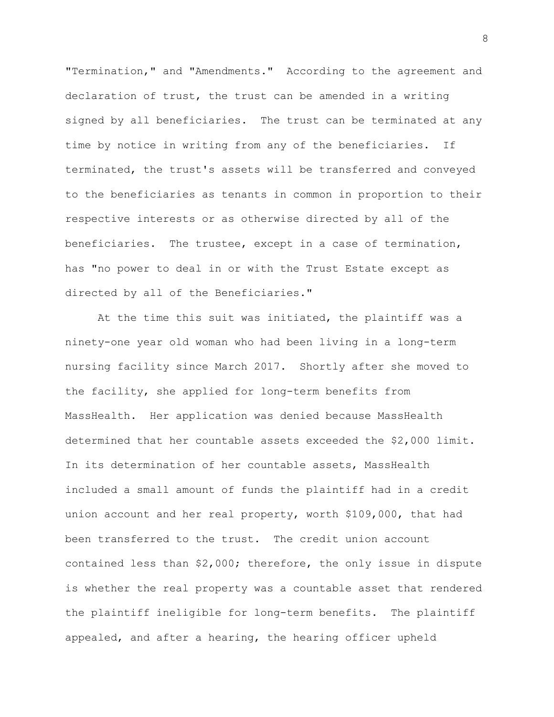"Termination," and "Amendments." According to the agreement and declaration of trust, the trust can be amended in a writing signed by all beneficiaries. The trust can be terminated at any time by notice in writing from any of the beneficiaries. If terminated, the trust's assets will be transferred and conveyed to the beneficiaries as tenants in common in proportion to their respective interests or as otherwise directed by all of the beneficiaries. The trustee, except in a case of termination, has "no power to deal in or with the Trust Estate except as directed by all of the Beneficiaries."

At the time this suit was initiated, the plaintiff was a ninety-one year old woman who had been living in a long-term nursing facility since March 2017. Shortly after she moved to the facility, she applied for long-term benefits from MassHealth. Her application was denied because MassHealth determined that her countable assets exceeded the \$2,000 limit. In its determination of her countable assets, MassHealth included a small amount of funds the plaintiff had in a credit union account and her real property, worth \$109,000, that had been transferred to the trust. The credit union account contained less than \$2,000; therefore, the only issue in dispute is whether the real property was a countable asset that rendered the plaintiff ineligible for long-term benefits. The plaintiff appealed, and after a hearing, the hearing officer upheld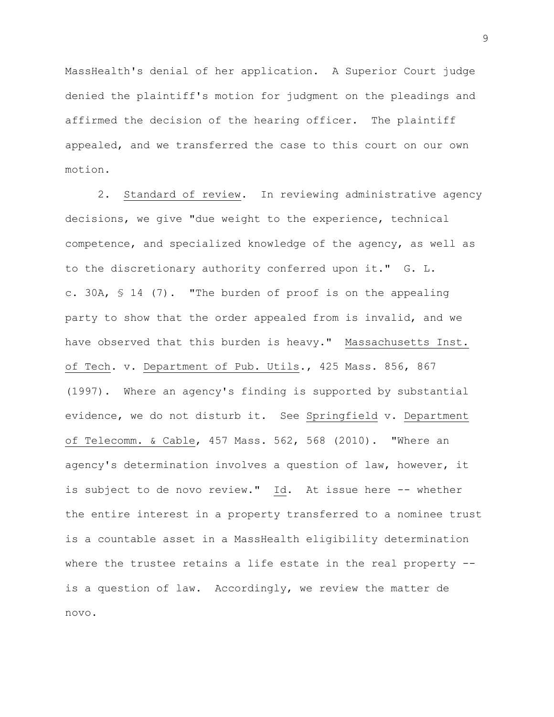MassHealth's denial of her application. A Superior Court judge denied the plaintiff's motion for judgment on the pleadings and affirmed the decision of the hearing officer. The plaintiff appealed, and we transferred the case to this court on our own motion.

2. Standard of review. In reviewing administrative agency decisions, we give "due weight to the experience, technical competence, and specialized knowledge of the agency, as well as to the discretionary authority conferred upon it." G. L. c. 30A, § 14 (7). "The burden of proof is on the appealing party to show that the order appealed from is invalid, and we have observed that this burden is heavy." Massachusetts Inst. of Tech. v. Department of Pub. Utils., 425 Mass. 856, 867 (1997). Where an agency's finding is supported by substantial evidence, we do not disturb it. See Springfield v. Department of Telecomm. & Cable, 457 Mass. 562, 568 (2010). "Where an agency's determination involves a question of law, however, it is subject to de novo review." Id. At issue here -- whether the entire interest in a property transferred to a nominee trust is a countable asset in a MassHealth eligibility determination where the trustee retains a life estate in the real property -is a question of law. Accordingly, we review the matter de novo.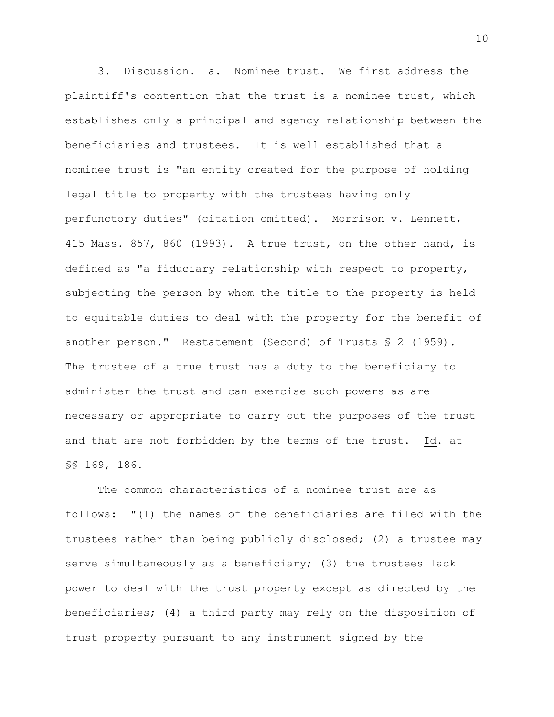3. Discussion. a. Nominee trust. We first address the plaintiff's contention that the trust is a nominee trust, which establishes only a principal and agency relationship between the beneficiaries and trustees. It is well established that a nominee trust is "an entity created for the purpose of holding legal title to property with the trustees having only perfunctory duties" (citation omitted). Morrison v. Lennett, 415 Mass. 857, 860 (1993). A true trust, on the other hand, is defined as "a fiduciary relationship with respect to property, subjecting the person by whom the title to the property is held to equitable duties to deal with the property for the benefit of another person." Restatement (Second) of Trusts § 2 (1959). The trustee of a true trust has a duty to the beneficiary to administer the trust and can exercise such powers as are necessary or appropriate to carry out the purposes of the trust and that are not forbidden by the terms of the trust. Id. at §§ 169, 186.

The common characteristics of a nominee trust are as follows: "(1) the names of the beneficiaries are filed with the trustees rather than being publicly disclosed; (2) a trustee may serve simultaneously as a beneficiary; (3) the trustees lack power to deal with the trust property except as directed by the beneficiaries; (4) a third party may rely on the disposition of trust property pursuant to any instrument signed by the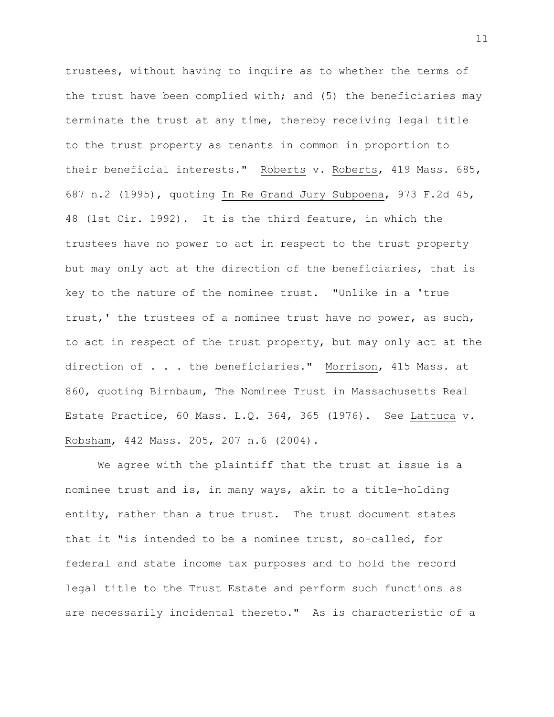trustees, without having to inquire as to whether the terms of the trust have been complied with; and (5) the beneficiaries may terminate the trust at any time, thereby receiving legal title to the trust property as tenants in common in proportion to their beneficial interests." Roberts v. Roberts, 419 Mass. 685, 687 n.2 (1995), quoting In Re Grand Jury Subpoena, 973 F.2d 45, 48 (1st Cir. 1992). It is the third feature, in which the trustees have no power to act in respect to the trust property but may only act at the direction of the beneficiaries, that is key to the nature of the nominee trust. "Unlike in a 'true trust,' the trustees of a nominee trust have no power, as such, to act in respect of the trust property, but may only act at the direction of . . . the beneficiaries." Morrison, 415 Mass. at 860, quoting Birnbaum, The Nominee Trust in Massachusetts Real Estate Practice, 60 Mass. L.Q. 364, 365 (1976). See Lattuca v. Robsham, 442 Mass. 205, 207 n.6 (2004).

We agree with the plaintiff that the trust at issue is a nominee trust and is, in many ways, akin to a title-holding entity, rather than a true trust. The trust document states that it "is intended to be a nominee trust, so-called, for federal and state income tax purposes and to hold the record legal title to the Trust Estate and perform such functions as are necessarily incidental thereto." As is characteristic of a

11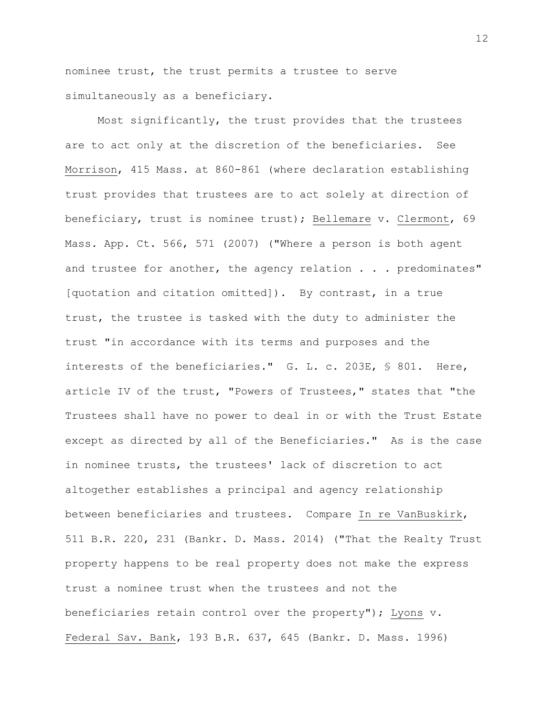nominee trust, the trust permits a trustee to serve simultaneously as a beneficiary.

Most significantly, the trust provides that the trustees are to act only at the discretion of the beneficiaries. See Morrison, 415 Mass. at 860-861 (where declaration establishing trust provides that trustees are to act solely at direction of beneficiary, trust is nominee trust); Bellemare v. Clermont, 69 Mass. App. Ct. 566, 571 (2007) ("Where a person is both agent and trustee for another, the agency relation . . . predominates" [quotation and citation omitted]). By contrast, in a true trust, the trustee is tasked with the duty to administer the trust "in accordance with its terms and purposes and the interests of the beneficiaries." G. L. c. 203E, § 801. Here, article IV of the trust, "Powers of Trustees," states that "the Trustees shall have no power to deal in or with the Trust Estate except as directed by all of the Beneficiaries." As is the case in nominee trusts, the trustees' lack of discretion to act altogether establishes a principal and agency relationship between beneficiaries and trustees. Compare In re VanBuskirk, 511 B.R. 220, 231 (Bankr. D. Mass. 2014) ("That the Realty Trust property happens to be real property does not make the express trust a nominee trust when the trustees and not the beneficiaries retain control over the property"); Lyons v. Federal Sav. Bank, 193 B.R. 637, 645 (Bankr. D. Mass. 1996)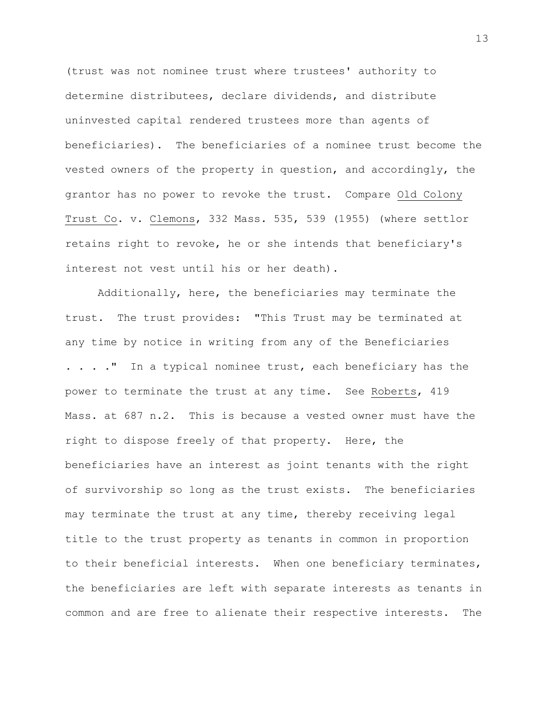(trust was not nominee trust where trustees' authority to determine distributees, declare dividends, and distribute uninvested capital rendered trustees more than agents of beneficiaries). The beneficiaries of a nominee trust become the vested owners of the property in question, and accordingly, the grantor has no power to revoke the trust. Compare Old Colony Trust Co. v. Clemons, 332 Mass. 535, 539 (1955) (where settlor retains right to revoke, he or she intends that beneficiary's interest not vest until his or her death).

Additionally, here, the beneficiaries may terminate the trust. The trust provides: "This Trust may be terminated at any time by notice in writing from any of the Beneficiaries . . . . " In a typical nominee trust, each beneficiary has the power to terminate the trust at any time. See Roberts, 419 Mass. at 687 n.2. This is because a vested owner must have the right to dispose freely of that property. Here, the beneficiaries have an interest as joint tenants with the right of survivorship so long as the trust exists. The beneficiaries may terminate the trust at any time, thereby receiving legal title to the trust property as tenants in common in proportion to their beneficial interests. When one beneficiary terminates, the beneficiaries are left with separate interests as tenants in common and are free to alienate their respective interests. The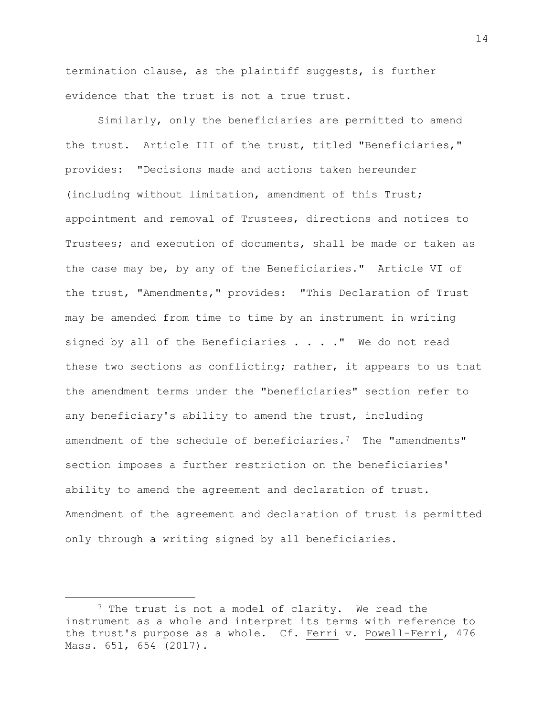termination clause, as the plaintiff suggests, is further evidence that the trust is not a true trust.

Similarly, only the beneficiaries are permitted to amend the trust. Article III of the trust, titled "Beneficiaries," provides: "Decisions made and actions taken hereunder (including without limitation, amendment of this Trust; appointment and removal of Trustees, directions and notices to Trustees; and execution of documents, shall be made or taken as the case may be, by any of the Beneficiaries." Article VI of the trust, "Amendments," provides: "This Declaration of Trust may be amended from time to time by an instrument in writing signed by all of the Beneficiaries . . . . " We do not read these two sections as conflicting; rather, it appears to us that the amendment terms under the "beneficiaries" section refer to any beneficiary's ability to amend the trust, including amendment of the schedule of beneficiaries.<sup>7</sup> The "amendments" section imposes a further restriction on the beneficiaries' ability to amend the agreement and declaration of trust. Amendment of the agreement and declaration of trust is permitted only through a writing signed by all beneficiaries.

a<br>B

14

<sup>&</sup>lt;sup>7</sup> The trust is not a model of clarity. We read the instrument as a whole and interpret its terms with reference to the trust's purpose as a whole. Cf. Ferri v. Powell-Ferri, 476 Mass. 651, 654 (2017).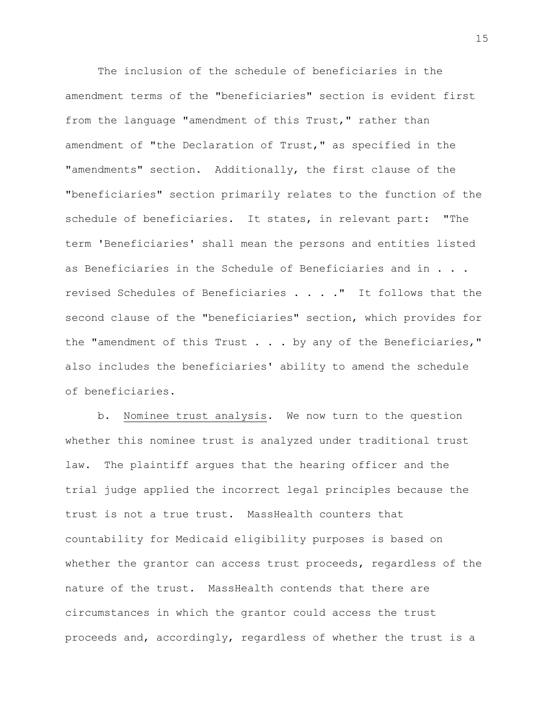The inclusion of the schedule of beneficiaries in the amendment terms of the "beneficiaries" section is evident first from the language "amendment of this Trust," rather than amendment of "the Declaration of Trust," as specified in the "amendments" section. Additionally, the first clause of the "beneficiaries" section primarily relates to the function of the schedule of beneficiaries. It states, in relevant part: "The term 'Beneficiaries' shall mean the persons and entities listed as Beneficiaries in the Schedule of Beneficiaries and in . . . revised Schedules of Beneficiaries . . . ." It follows that the second clause of the "beneficiaries" section, which provides for the "amendment of this Trust . . . by any of the Beneficiaries," also includes the beneficiaries' ability to amend the schedule of beneficiaries.

b. Nominee trust analysis. We now turn to the question whether this nominee trust is analyzed under traditional trust law. The plaintiff argues that the hearing officer and the trial judge applied the incorrect legal principles because the trust is not a true trust. MassHealth counters that countability for Medicaid eligibility purposes is based on whether the grantor can access trust proceeds, regardless of the nature of the trust. MassHealth contends that there are circumstances in which the grantor could access the trust proceeds and, accordingly, regardless of whether the trust is a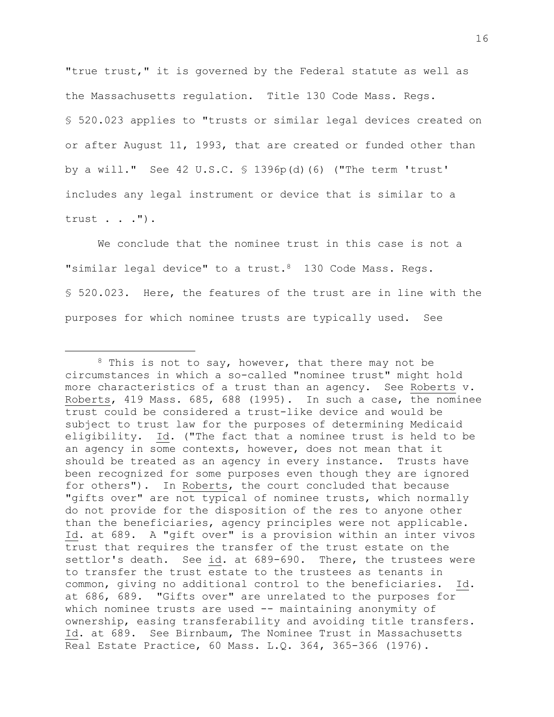"true trust," it is governed by the Federal statute as well as the Massachusetts regulation. Title 130 Code Mass. Regs. § 520.023 applies to "trusts or similar legal devices created on or after August 11, 1993, that are created or funded other than by a will." See 42 U.S.C. § 1396p(d)(6) ("The term 'trust' includes any legal instrument or device that is similar to a trust . . .").

We conclude that the nominee trust in this case is not a "similar legal device" to a trust.8 130 Code Mass. Regs. § 520.023. Here, the features of the trust are in line with the purposes for which nominee trusts are typically used. See

a<br>B

 $8$  This is not to say, however, that there may not be circumstances in which a so-called "nominee trust" might hold more characteristics of a trust than an agency. See Roberts v. Roberts, 419 Mass. 685, 688 (1995). In such a case, the nominee trust could be considered a trust-like device and would be subject to trust law for the purposes of determining Medicaid eligibility. Id. ("The fact that a nominee trust is held to be an agency in some contexts, however, does not mean that it should be treated as an agency in every instance. Trusts have been recognized for some purposes even though they are ignored for others"). In Roberts, the court concluded that because "gifts over" are not typical of nominee trusts, which normally do not provide for the disposition of the res to anyone other than the beneficiaries, agency principles were not applicable. Id. at 689. A "gift over" is a provision within an inter vivos trust that requires the transfer of the trust estate on the settlor's death. See id. at 689-690. There, the trustees were to transfer the trust estate to the trustees as tenants in common, giving no additional control to the beneficiaries. Id. at 686, 689. "Gifts over" are unrelated to the purposes for which nominee trusts are used -- maintaining anonymity of ownership, easing transferability and avoiding title transfers. Id. at 689. See Birnbaum, The Nominee Trust in Massachusetts Real Estate Practice, 60 Mass. L.Q. 364, 365-366 (1976).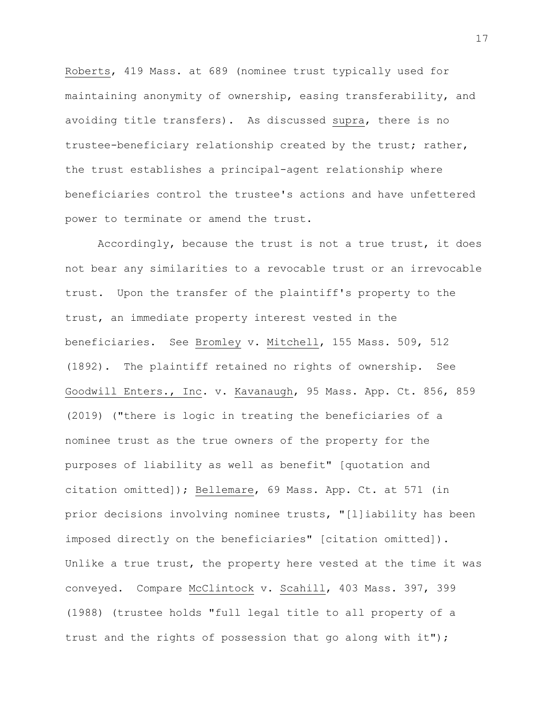Roberts, 419 Mass. at 689 (nominee trust typically used for maintaining anonymity of ownership, easing transferability, and avoiding title transfers). As discussed supra, there is no trustee-beneficiary relationship created by the trust; rather, the trust establishes a principal-agent relationship where beneficiaries control the trustee's actions and have unfettered power to terminate or amend the trust.

Accordingly, because the trust is not a true trust, it does not bear any similarities to a revocable trust or an irrevocable trust. Upon the transfer of the plaintiff's property to the trust, an immediate property interest vested in the beneficiaries. See Bromley v. Mitchell, 155 Mass. 509, 512 (1892). The plaintiff retained no rights of ownership. See Goodwill Enters., Inc. v. Kavanaugh, 95 Mass. App. Ct. 856, 859 (2019) ("there is logic in treating the beneficiaries of a nominee trust as the true owners of the property for the purposes of liability as well as benefit" [quotation and citation omitted]); Bellemare, 69 Mass. App. Ct. at 571 (in prior decisions involving nominee trusts, "[l]iability has been imposed directly on the beneficiaries" [citation omitted]). Unlike a true trust, the property here vested at the time it was conveyed. Compare McClintock v. Scahill, 403 Mass. 397, 399 (1988) (trustee holds "full legal title to all property of a trust and the rights of possession that go along with it");

17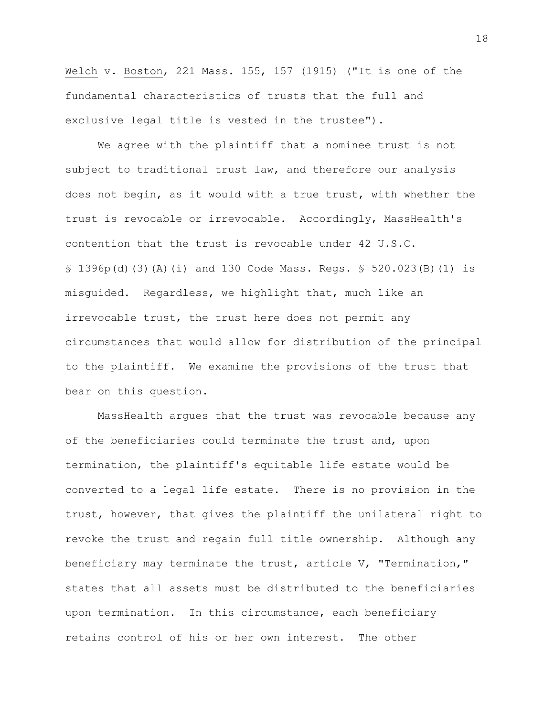Welch v. Boston, 221 Mass. 155, 157 (1915) ("It is one of the fundamental characteristics of trusts that the full and exclusive legal title is vested in the trustee").

We agree with the plaintiff that a nominee trust is not subject to traditional trust law, and therefore our analysis does not begin, as it would with a true trust, with whether the trust is revocable or irrevocable. Accordingly, MassHealth's contention that the trust is revocable under 42 U.S.C. § 1396p(d)(3)(A)(i) and 130 Code Mass. Regs. § 520.023(B)(1) is misguided. Regardless, we highlight that, much like an irrevocable trust, the trust here does not permit any circumstances that would allow for distribution of the principal to the plaintiff. We examine the provisions of the trust that bear on this question.

MassHealth argues that the trust was revocable because any of the beneficiaries could terminate the trust and, upon termination, the plaintiff's equitable life estate would be converted to a legal life estate. There is no provision in the trust, however, that gives the plaintiff the unilateral right to revoke the trust and regain full title ownership. Although any beneficiary may terminate the trust, article V, "Termination," states that all assets must be distributed to the beneficiaries upon termination. In this circumstance, each beneficiary retains control of his or her own interest. The other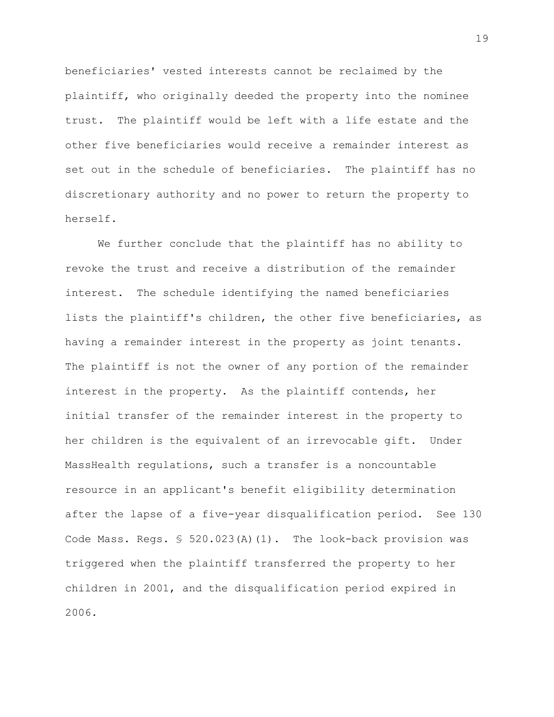beneficiaries' vested interests cannot be reclaimed by the plaintiff, who originally deeded the property into the nominee trust. The plaintiff would be left with a life estate and the other five beneficiaries would receive a remainder interest as set out in the schedule of beneficiaries. The plaintiff has no discretionary authority and no power to return the property to herself.

We further conclude that the plaintiff has no ability to revoke the trust and receive a distribution of the remainder interest. The schedule identifying the named beneficiaries lists the plaintiff's children, the other five beneficiaries, as having a remainder interest in the property as joint tenants. The plaintiff is not the owner of any portion of the remainder interest in the property. As the plaintiff contends, her initial transfer of the remainder interest in the property to her children is the equivalent of an irrevocable gift. Under MassHealth regulations, such a transfer is a noncountable resource in an applicant's benefit eligibility determination after the lapse of a five-year disqualification period. See 130 Code Mass. Regs. § 520.023(A)(1). The look-back provision was triggered when the plaintiff transferred the property to her children in 2001, and the disqualification period expired in 2006.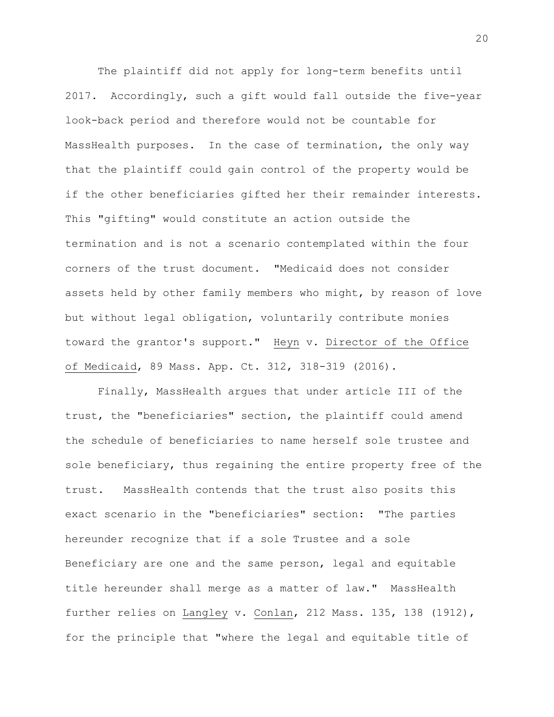The plaintiff did not apply for long-term benefits until 2017. Accordingly, such a gift would fall outside the five-year look-back period and therefore would not be countable for MassHealth purposes. In the case of termination, the only way that the plaintiff could gain control of the property would be if the other beneficiaries gifted her their remainder interests. This "gifting" would constitute an action outside the termination and is not a scenario contemplated within the four corners of the trust document. "Medicaid does not consider assets held by other family members who might, by reason of love but without legal obligation, voluntarily contribute monies toward the grantor's support." Heyn v. Director of the Office of Medicaid, 89 Mass. App. Ct. 312, 318-319 (2016).

Finally, MassHealth argues that under article III of the trust, the "beneficiaries" section, the plaintiff could amend the schedule of beneficiaries to name herself sole trustee and sole beneficiary, thus regaining the entire property free of the trust. MassHealth contends that the trust also posits this exact scenario in the "beneficiaries" section: "The parties hereunder recognize that if a sole Trustee and a sole Beneficiary are one and the same person, legal and equitable title hereunder shall merge as a matter of law." MassHealth further relies on Langley v. Conlan, 212 Mass. 135, 138 (1912), for the principle that "where the legal and equitable title of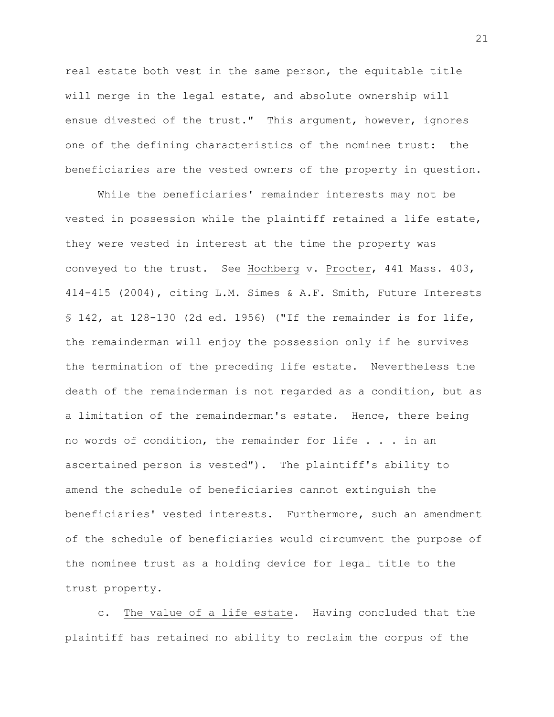real estate both vest in the same person, the equitable title will merge in the legal estate, and absolute ownership will ensue divested of the trust." This argument, however, ignores one of the defining characteristics of the nominee trust: the beneficiaries are the vested owners of the property in question.

While the beneficiaries' remainder interests may not be vested in possession while the plaintiff retained a life estate, they were vested in interest at the time the property was conveyed to the trust. See Hochberg v. Procter, 441 Mass. 403, 414-415 (2004), citing L.M. Simes & A.F. Smith, Future Interests § 142, at 128-130 (2d ed. 1956) ("If the remainder is for life, the remainderman will enjoy the possession only if he survives the termination of the preceding life estate. Nevertheless the death of the remainderman is not regarded as a condition, but as a limitation of the remainderman's estate. Hence, there being no words of condition, the remainder for life . . . in an ascertained person is vested"). The plaintiff's ability to amend the schedule of beneficiaries cannot extinguish the beneficiaries' vested interests. Furthermore, such an amendment of the schedule of beneficiaries would circumvent the purpose of the nominee trust as a holding device for legal title to the trust property.

c. The value of a life estate. Having concluded that the plaintiff has retained no ability to reclaim the corpus of the

21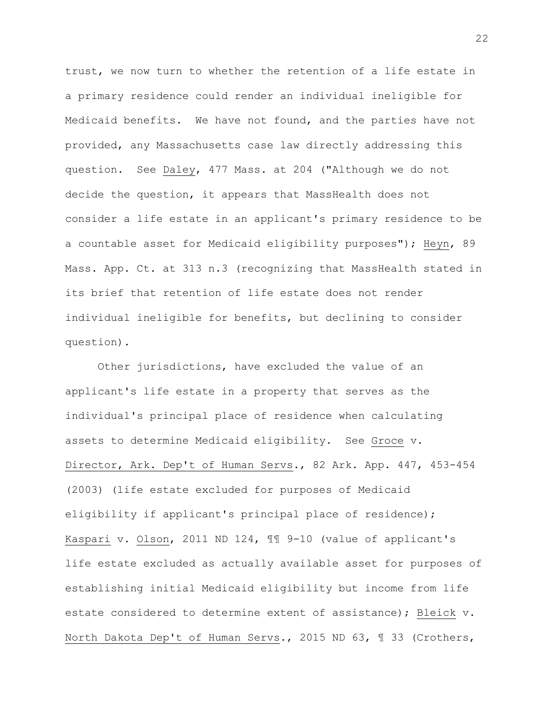trust, we now turn to whether the retention of a life estate in a primary residence could render an individual ineligible for Medicaid benefits. We have not found, and the parties have not provided, any Massachusetts case law directly addressing this question. See Daley, 477 Mass. at 204 ("Although we do not decide the question, it appears that MassHealth does not consider a life estate in an applicant's primary residence to be a countable asset for Medicaid eligibility purposes"); Heyn, 89 Mass. App. Ct. at 313 n.3 (recognizing that MassHealth stated in its brief that retention of life estate does not render individual ineligible for benefits, but declining to consider question).

Other jurisdictions, have excluded the value of an applicant's life estate in a property that serves as the individual's principal place of residence when calculating assets to determine Medicaid eligibility. See Groce v. Director, Ark. Dep't of Human Servs., 82 Ark. App. 447, 453-454 (2003) (life estate excluded for purposes of Medicaid eligibility if applicant's principal place of residence); Kaspari v. Olson, 2011 ND 124, ¶¶ 9-10 (value of applicant's life estate excluded as actually available asset for purposes of establishing initial Medicaid eligibility but income from life estate considered to determine extent of assistance); Bleick v. North Dakota Dep't of Human Servs., 2015 ND 63, ¶ 33 (Crothers,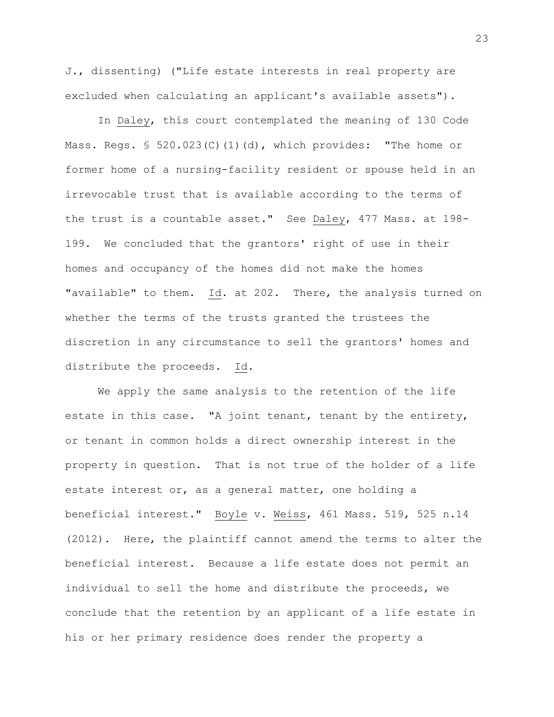J., dissenting) ("Life estate interests in real property are excluded when calculating an applicant's available assets").

In Daley, this court contemplated the meaning of 130 Code Mass. Reqs.  $\$ 520.023(C) (1) (d)$ , which provides: "The home or former home of a nursing-facility resident or spouse held in an irrevocable trust that is available according to the terms of the trust is a countable asset." See Daley, 477 Mass. at 198- 199. We concluded that the grantors' right of use in their homes and occupancy of the homes did not make the homes "available" to them. Id. at 202. There, the analysis turned on whether the terms of the trusts granted the trustees the discretion in any circumstance to sell the grantors' homes and distribute the proceeds. Id.

We apply the same analysis to the retention of the life estate in this case. "A joint tenant, tenant by the entirety, or tenant in common holds a direct ownership interest in the property in question. That is not true of the holder of a life estate interest or, as a general matter, one holding a beneficial interest." Boyle v. Weiss, 461 Mass. 519, 525 n.14 (2012). Here, the plaintiff cannot amend the terms to alter the beneficial interest. Because a life estate does not permit an individual to sell the home and distribute the proceeds, we conclude that the retention by an applicant of a life estate in his or her primary residence does render the property a